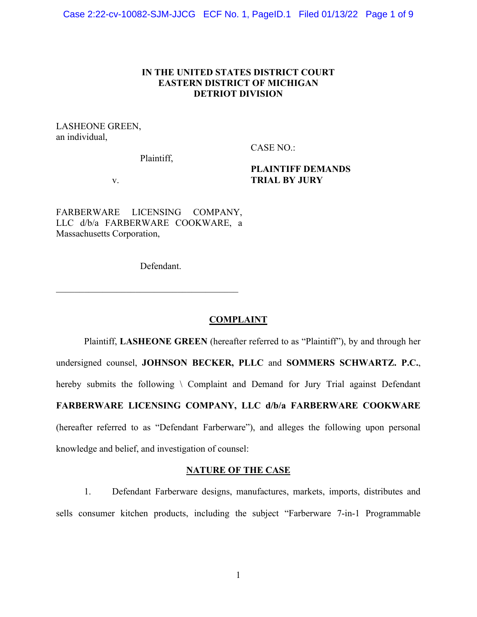## **IN THE UNITED STATES DISTRICT COURT EASTERN DISTRICT OF MICHIGAN DETRIOT DIVISION**

LASHEONE GREEN, an individual,

CASE NO.:

Plaintiff,

**PLAINTIFF DEMANDS TRIAL BY JURY**

v.

FARBERWARE LICENSING COMPANY, LLC d/b/a FARBERWARE COOKWARE, a Massachusetts Corporation,

 $\mathcal{L}_\text{max}$  and  $\mathcal{L}_\text{max}$  and  $\mathcal{L}_\text{max}$  and  $\mathcal{L}_\text{max}$ 

Defendant.

## **COMPLAINT**

Plaintiff, **LASHEONE GREEN** (hereafter referred to as "Plaintiff"), by and through her undersigned counsel, **JOHNSON BECKER, PLLC** and **SOMMERS SCHWARTZ. P.C.**, hereby submits the following \ Complaint and Demand for Jury Trial against Defendant **FARBERWARE LICENSING COMPANY, LLC d/b/a FARBERWARE COOKWARE**  (hereafter referred to as "Defendant Farberware"), and alleges the following upon personal knowledge and belief, and investigation of counsel:

## **NATURE OF THE CASE**

1. Defendant Farberware designs, manufactures, markets, imports, distributes and sells consumer kitchen products, including the subject "Farberware 7-in-1 Programmable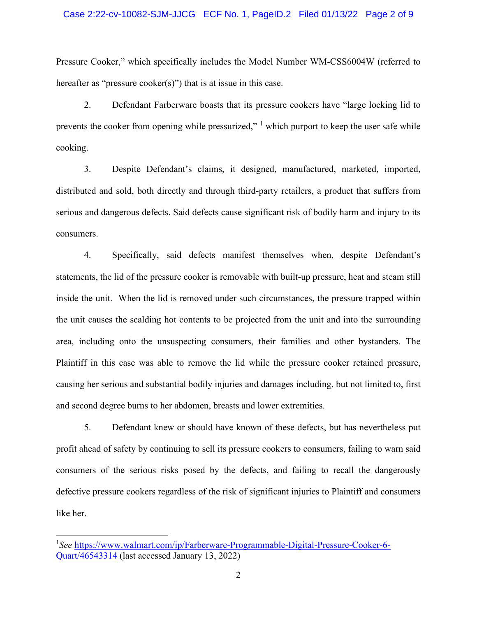#### Case 2:22-cv-10082-SJM-JJCG ECF No. 1, PageID.2 Filed 01/13/22 Page 2 of 9

Pressure Cooker," which specifically includes the Model Number WM-CSS6004W (referred to hereafter as "pressure cooker(s)") that is at issue in this case.

2. Defendant Farberware boasts that its pressure cookers have "large locking lid to prevents the cooker from opening while pressurized,"  $\frac{1}{2}$  $\frac{1}{2}$  $\frac{1}{2}$  which purport to keep the user safe while cooking.

3. Despite Defendant's claims, it designed, manufactured, marketed, imported, distributed and sold, both directly and through third-party retailers, a product that suffers from serious and dangerous defects. Said defects cause significant risk of bodily harm and injury to its consumers.

4. Specifically, said defects manifest themselves when, despite Defendant's statements, the lid of the pressure cooker is removable with built-up pressure, heat and steam still inside the unit. When the lid is removed under such circumstances, the pressure trapped within the unit causes the scalding hot contents to be projected from the unit and into the surrounding area, including onto the unsuspecting consumers, their families and other bystanders. The Plaintiff in this case was able to remove the lid while the pressure cooker retained pressure, causing her serious and substantial bodily injuries and damages including, but not limited to, first and second degree burns to her abdomen, breasts and lower extremities.

5. Defendant knew or should have known of these defects, but has nevertheless put profit ahead of safety by continuing to sell its pressure cookers to consumers, failing to warn said consumers of the serious risks posed by the defects, and failing to recall the dangerously defective pressure cookers regardless of the risk of significant injuries to Plaintiff and consumers like her.

<span id="page-1-0"></span><sup>&</sup>lt;sup>1</sup>See [https://www.walmart.com/ip/Farberware-Programmable-Digital-Pressure-Cooker-6-](https://www.walmart.com/ip/Farberware-Programmable-Digital-Pressure-Cooker-6-Quart/46543314) [Quart/46543314](https://www.walmart.com/ip/Farberware-Programmable-Digital-Pressure-Cooker-6-Quart/46543314) (last accessed January 13, 2022)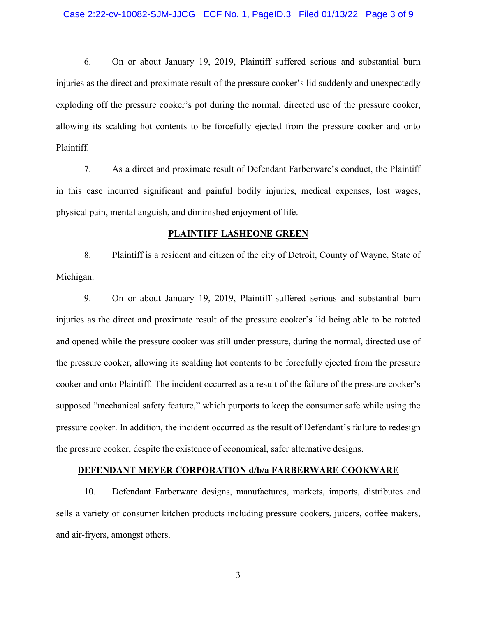#### Case 2:22-cv-10082-SJM-JJCG ECF No. 1, PageID.3 Filed 01/13/22 Page 3 of 9

6. On or about January 19, 2019, Plaintiff suffered serious and substantial burn injuries as the direct and proximate result of the pressure cooker's lid suddenly and unexpectedly exploding off the pressure cooker's pot during the normal, directed use of the pressure cooker, allowing its scalding hot contents to be forcefully ejected from the pressure cooker and onto Plaintiff.

7. As a direct and proximate result of Defendant Farberware's conduct, the Plaintiff in this case incurred significant and painful bodily injuries, medical expenses, lost wages, physical pain, mental anguish, and diminished enjoyment of life.

#### **PLAINTIFF LASHEONE GREEN**

8. Plaintiff is a resident and citizen of the city of Detroit, County of Wayne, State of Michigan.

9. On or about January 19, 2019, Plaintiff suffered serious and substantial burn injuries as the direct and proximate result of the pressure cooker's lid being able to be rotated and opened while the pressure cooker was still under pressure, during the normal, directed use of the pressure cooker, allowing its scalding hot contents to be forcefully ejected from the pressure cooker and onto Plaintiff. The incident occurred as a result of the failure of the pressure cooker's supposed "mechanical safety feature," which purports to keep the consumer safe while using the pressure cooker. In addition, the incident occurred as the result of Defendant's failure to redesign the pressure cooker, despite the existence of economical, safer alternative designs.

#### **DEFENDANT MEYER CORPORATION d/b/a FARBERWARE COOKWARE**

10. Defendant Farberware designs, manufactures, markets, imports, distributes and sells a variety of consumer kitchen products including pressure cookers, juicers, coffee makers, and air-fryers, amongst others.

3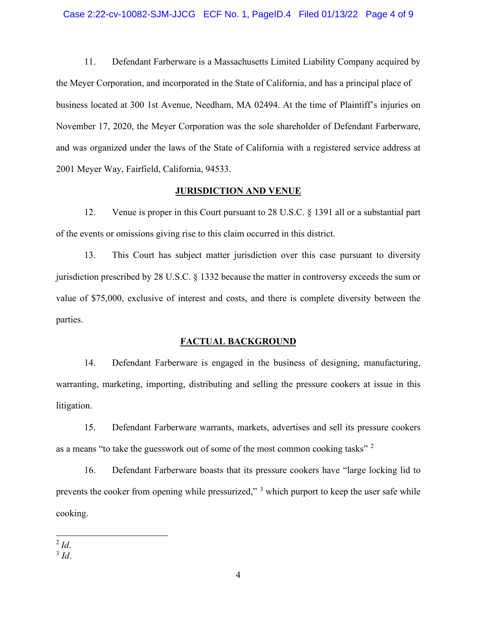11. Defendant Farberware is a Massachusetts Limited Liability Company acquired by the Meyer Corporation, and incorporated in the State of California, and has a principal place of business located at 300 1st Avenue, Needham, MA 02494. At the time of Plaintiff's injuries on November 17, 2020, the Meyer Corporation was the sole shareholder of Defendant Farberware, and was organized under the laws of the State of California with a registered service address at 2001 Meyer Way, Fairfield, California, 94533.

## **JURISDICTION AND VENUE**

12. Venue is proper in this Court pursuant to 28 U.S.C. § 1391 all or a substantial part of the events or omissions giving rise to this claim occurred in this district.

13. This Court has subject matter jurisdiction over this case pursuant to diversity jurisdiction prescribed by 28 U.S.C. § 1332 because the matter in controversy exceeds the sum or value of \$75,000, exclusive of interest and costs, and there is complete diversity between the parties.

## **FACTUAL BACKGROUND**

14. Defendant Farberware is engaged in the business of designing, manufacturing, warranting, marketing, importing, distributing and selling the pressure cookers at issue in this litigation.

15. Defendant Farberware warrants, markets, advertises and sell its pressure cookers as a means "to take the guesswork out of some of the most common cooking tasks"<sup>[2](#page-3-0)</sup>

16. Defendant Farberware boasts that its pressure cookers have "large locking lid to prevents the cooker from opening while pressurized,"<sup>[3](#page-3-1)</sup> which purport to keep the user safe while cooking.

<span id="page-3-0"></span><sup>2</sup> *Id*.

<span id="page-3-1"></span><sup>3</sup> *Id*.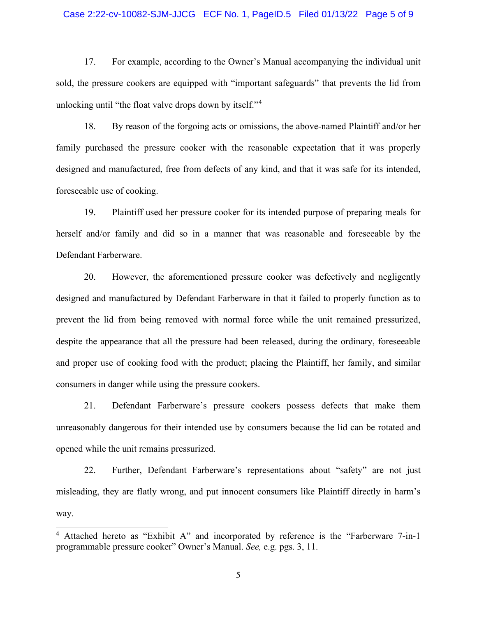#### Case 2:22-cv-10082-SJM-JJCG ECF No. 1, PageID.5 Filed 01/13/22 Page 5 of 9

17. For example, according to the Owner's Manual accompanying the individual unit sold, the pressure cookers are equipped with "important safeguards" that prevents the lid from unlocking until "the float valve drops down by itself."[4](#page-4-0)

18. By reason of the forgoing acts or omissions, the above-named Plaintiff and/or her family purchased the pressure cooker with the reasonable expectation that it was properly designed and manufactured, free from defects of any kind, and that it was safe for its intended, foreseeable use of cooking.

19. Plaintiff used her pressure cooker for its intended purpose of preparing meals for herself and/or family and did so in a manner that was reasonable and foreseeable by the Defendant Farberware.

20. However, the aforementioned pressure cooker was defectively and negligently designed and manufactured by Defendant Farberware in that it failed to properly function as to prevent the lid from being removed with normal force while the unit remained pressurized, despite the appearance that all the pressure had been released, during the ordinary, foreseeable and proper use of cooking food with the product; placing the Plaintiff, her family, and similar consumers in danger while using the pressure cookers.

21. Defendant Farberware's pressure cookers possess defects that make them unreasonably dangerous for their intended use by consumers because the lid can be rotated and opened while the unit remains pressurized.

22. Further, Defendant Farberware's representations about "safety" are not just misleading, they are flatly wrong, and put innocent consumers like Plaintiff directly in harm's way.

<span id="page-4-0"></span><sup>&</sup>lt;sup>4</sup> Attached hereto as "Exhibit A" and incorporated by reference is the "Farberware 7-in-1 programmable pressure cooker" Owner's Manual. *See,* e.g. pgs. 3, 11.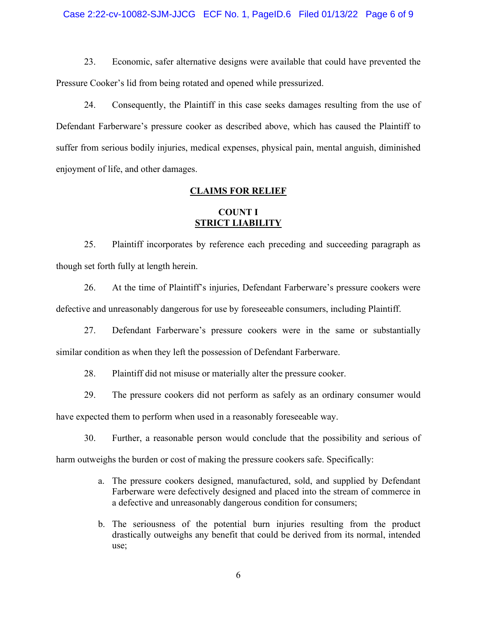#### Case 2:22-cv-10082-SJM-JJCG ECF No. 1, PageID.6 Filed 01/13/22 Page 6 of 9

23. Economic, safer alternative designs were available that could have prevented the Pressure Cooker's lid from being rotated and opened while pressurized.

24. Consequently, the Plaintiff in this case seeks damages resulting from the use of Defendant Farberware's pressure cooker as described above, which has caused the Plaintiff to suffer from serious bodily injuries, medical expenses, physical pain, mental anguish, diminished enjoyment of life, and other damages.

### **CLAIMS FOR RELIEF**

## **COUNT I STRICT LIABILITY**

25. Plaintiff incorporates by reference each preceding and succeeding paragraph as though set forth fully at length herein.

26. At the time of Plaintiff's injuries, Defendant Farberware's pressure cookers were defective and unreasonably dangerous for use by foreseeable consumers, including Plaintiff.

27. Defendant Farberware's pressure cookers were in the same or substantially similar condition as when they left the possession of Defendant Farberware.

28. Plaintiff did not misuse or materially alter the pressure cooker.

29. The pressure cookers did not perform as safely as an ordinary consumer would

have expected them to perform when used in a reasonably foreseeable way.

30. Further, a reasonable person would conclude that the possibility and serious of

harm outweighs the burden or cost of making the pressure cookers safe. Specifically:

- a. The pressure cookers designed, manufactured, sold, and supplied by Defendant Farberware were defectively designed and placed into the stream of commerce in a defective and unreasonably dangerous condition for consumers;
- b. The seriousness of the potential burn injuries resulting from the product drastically outweighs any benefit that could be derived from its normal, intended use;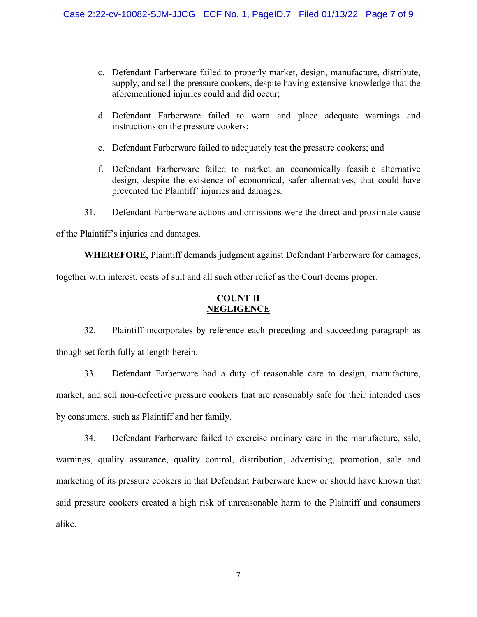- c. Defendant Farberware failed to properly market, design, manufacture, distribute, supply, and sell the pressure cookers, despite having extensive knowledge that the aforementioned injuries could and did occur;
- d. Defendant Farberware failed to warn and place adequate warnings and instructions on the pressure cookers;
- e. Defendant Farberware failed to adequately test the pressure cookers; and
- f. Defendant Farberware failed to market an economically feasible alternative design, despite the existence of economical, safer alternatives, that could have prevented the Plaintiff' injuries and damages.
- 31. Defendant Farberware actions and omissions were the direct and proximate cause

of the Plaintiff's injuries and damages.

**WHEREFORE**, Plaintiff demands judgment against Defendant Farberware for damages, together with interest, costs of suit and all such other relief as the Court deems proper.

# **COUNT II NEGLIGENCE**

32. Plaintiff incorporates by reference each preceding and succeeding paragraph as though set forth fully at length herein.

33. Defendant Farberware had a duty of reasonable care to design, manufacture, market, and sell non-defective pressure cookers that are reasonably safe for their intended uses by consumers, such as Plaintiff and her family.

34. Defendant Farberware failed to exercise ordinary care in the manufacture, sale, warnings, quality assurance, quality control, distribution, advertising, promotion, sale and marketing of its pressure cookers in that Defendant Farberware knew or should have known that said pressure cookers created a high risk of unreasonable harm to the Plaintiff and consumers alike.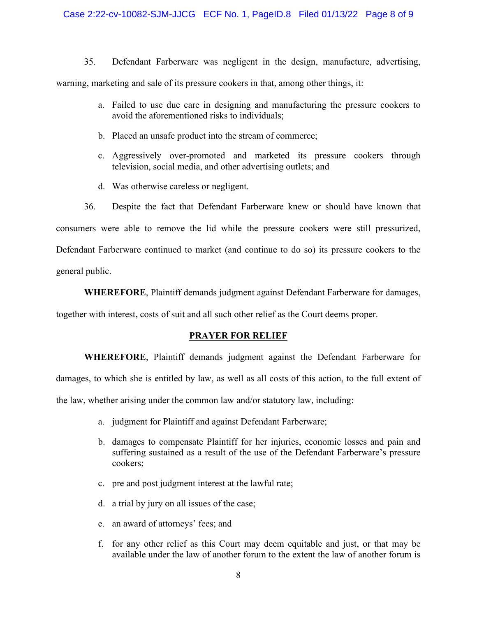### Case 2:22-cv-10082-SJM-JJCG ECF No. 1, PageID.8 Filed 01/13/22 Page 8 of 9

35. Defendant Farberware was negligent in the design, manufacture, advertising,

warning, marketing and sale of its pressure cookers in that, among other things, it:

- a. Failed to use due care in designing and manufacturing the pressure cookers to avoid the aforementioned risks to individuals;
- b. Placed an unsafe product into the stream of commerce;
- c. Aggressively over-promoted and marketed its pressure cookers through television, social media, and other advertising outlets; and
- d. Was otherwise careless or negligent.

36. Despite the fact that Defendant Farberware knew or should have known that consumers were able to remove the lid while the pressure cookers were still pressurized, Defendant Farberware continued to market (and continue to do so) its pressure cookers to the general public.

**WHEREFORE**, Plaintiff demands judgment against Defendant Farberware for damages,

together with interest, costs of suit and all such other relief as the Court deems proper.

### **PRAYER FOR RELIEF**

**WHEREFORE**, Plaintiff demands judgment against the Defendant Farberware for damages, to which she is entitled by law, as well as all costs of this action, to the full extent of the law, whether arising under the common law and/or statutory law, including:

- a. judgment for Plaintiff and against Defendant Farberware;
- b. damages to compensate Plaintiff for her injuries, economic losses and pain and suffering sustained as a result of the use of the Defendant Farberware's pressure cookers;
- c. pre and post judgment interest at the lawful rate;
- d. a trial by jury on all issues of the case;
- e. an award of attorneys' fees; and
- f. for any other relief as this Court may deem equitable and just, or that may be available under the law of another forum to the extent the law of another forum is